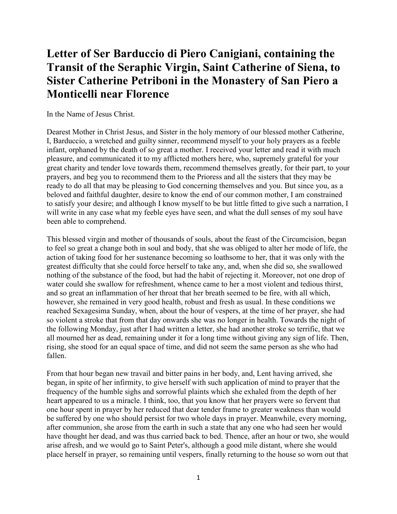## **Letter of Ser Barduccio di Piero Canigiani, containing the Transit of the Seraphic Virgin, Saint Catherine of Siena, to Sister Catherine Petriboni in the Monastery of San Piero a Monticelli near Florence**

In the Name of Jesus Christ.

Dearest Mother in Christ Jesus, and Sister in the holy memory of our blessed mother Catherine, I, Barduccio, a wretched and guilty sinner, recommend myself to your holy prayers as a feeble infant, orphaned by the death of so great a mother. I received your letter and read it with much pleasure, and communicated it to my afflicted mothers here, who, supremely grateful for your great charity and tender love towards them, recommend themselves greatly, for their part, to your prayers, and beg you to recommend them to the Prioress and all the sisters that they may be ready to do all that may be pleasing to God concerning themselves and you. But since you, as a beloved and faithful daughter, desire to know the end of our common mother, I am constrained to satisfy your desire; and although I know myself to be but little fitted to give such a narration, I will write in any case what my feeble eyes have seen, and what the dull senses of my soul have been able to comprehend.

This blessed virgin and mother of thousands of souls, about the feast of the Circumcision, began to feel so great a change both in soul and body, that she was obliged to alter her mode of life, the action of taking food for her sustenance becoming so loathsome to her, that it was only with the greatest difficulty that she could force herself to take any, and, when she did so, she swallowed nothing of the substance of the food, but had the habit of rejecting it. Moreover, not one drop of water could she swallow for refreshment, whence came to her a most violent and tedious thirst, and so great an inflammation of her throat that her breath seemed to be fire, with all which, however, she remained in very good health, robust and fresh as usual. In these conditions we reached Sexagesima Sunday, when, about the hour of vespers, at the time of her prayer, she had so violent a stroke that from that day onwards she was no longer in health. Towards the night of the following Monday, just after I had written a letter, she had another stroke so terrific, that we all mourned her as dead, remaining under it for a long time without giving any sign of life. Then, rising, she stood for an equal space of time, and did not seem the same person as she who had fallen.

From that hour began new travail and bitter pains in her body, and, Lent having arrived, she began, in spite of her infirmity, to give herself with such application of mind to prayer that the frequency of the humble sighs and sorrowful plaints which she exhaled from the depth of her heart appeared to us a miracle. I think, too, that you know that her prayers were so fervent that one hour spent in prayer by her reduced that dear tender frame to greater weakness than would be suffered by one who should persist for two whole days in prayer. Meanwhile, every morning, after communion, she arose from the earth in such a state that any one who had seen her would have thought her dead, and was thus carried back to bed. Thence, after an hour or two, she would arise afresh, and we would go to Saint Peter's, although a good mile distant, where she would place herself in prayer, so remaining until vespers, finally returning to the house so worn out that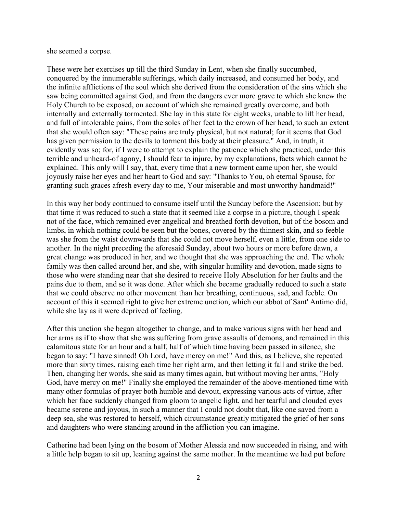she seemed a corpse.

These were her exercises up till the third Sunday in Lent, when she finally succumbed, conquered by the innumerable sufferings, which daily increased, and consumed her body, and the infinite afflictions of the soul which she derived from the consideration of the sins which she saw being committed against God, and from the dangers ever more grave to which she knew the Holy Church to be exposed, on account of which she remained greatly overcome, and both internally and externally tormented. She lay in this state for eight weeks, unable to lift her head, and full of intolerable pains, from the soles of her feet to the crown of her head, to such an extent that she would often say: "These pains are truly physical, but not natural; for it seems that God has given permission to the devils to torment this body at their pleasure." And, in truth, it evidently was so; for, if I were to attempt to explain the patience which she practiced, under this terrible and unheard-of agony, I should fear to injure, by my explanations, facts which cannot be explained. This only will I say, that, every time that a new torment came upon her, she would joyously raise her eyes and her heart to God and say: "Thanks to You, oh eternal Spouse, for granting such graces afresh every day to me, Your miserable and most unworthy handmaid!"

In this way her body continued to consume itself until the Sunday before the Ascension; but by that time it was reduced to such a state that it seemed like a corpse in a picture, though I speak not of the face, which remained ever angelical and breathed forth devotion, but of the bosom and limbs, in which nothing could be seen but the bones, covered by the thinnest skin, and so feeble was she from the waist downwards that she could not move herself, even a little, from one side to another. In the night preceding the aforesaid Sunday, about two hours or more before dawn, a great change was produced in her, and we thought that she was approaching the end. The whole family was then called around her, and she, with singular humility and devotion, made signs to those who were standing near that she desired to receive Holy Absolution for her faults and the pains due to them, and so it was done. After which she became gradually reduced to such a state that we could observe no other movement than her breathing, continuous, sad, and feeble. On account of this it seemed right to give her extreme unction, which our abbot of Sant' Antimo did, while she lay as it were deprived of feeling.

After this unction she began altogether to change, and to make various signs with her head and her arms as if to show that she was suffering from grave assaults of demons, and remained in this calamitous state for an hour and a half, half of which time having been passed in silence, she began to say: "I have sinned! Oh Lord, have mercy on me!" And this, as I believe, she repeated more than sixty times, raising each time her right arm, and then letting it fall and strike the bed. Then, changing her words, she said as many times again, but without moving her arms, "Holy God, have mercy on me!" Finally she employed the remainder of the above-mentioned time with many other formulas of prayer both humble and devout, expressing various acts of virtue, after which her face suddenly changed from gloom to angelic light, and her tearful and clouded eyes became serene and joyous, in such a manner that I could not doubt that, like one saved from a deep sea, she was restored to herself, which circumstance greatly mitigated the grief of her sons and daughters who were standing around in the affliction you can imagine.

Catherine had been lying on the bosom of Mother Alessia and now succeeded in rising, and with a little help began to sit up, leaning against the same mother. In the meantime we had put before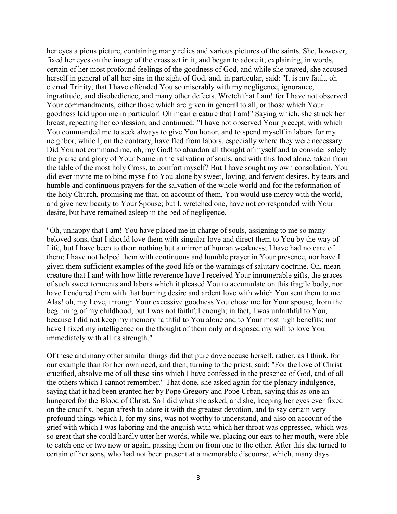her eyes a pious picture, containing many relics and various pictures of the saints. She, however, fixed her eyes on the image of the cross set in it, and began to adore it, explaining, in words, certain of her most profound feelings of the goodness of God, and while she prayed, she accused herself in general of all her sins in the sight of God, and, in particular, said: "It is my fault, oh eternal Trinity, that I have offended You so miserably with my negligence, ignorance, ingratitude, and disobedience, and many other defects. Wretch that I am! for I have not observed Your commandments, either those which are given in general to all, or those which Your goodness laid upon me in particular! Oh mean creature that I am!" Saying which, she struck her breast, repeating her confession, and continued: "I have not observed Your precept, with which You commanded me to seek always to give You honor, and to spend myself in labors for my neighbor, while I, on the contrary, have fled from labors, especially where they were necessary. Did You not command me, oh, my God! to abandon all thought of myself and to consider solely the praise and glory of Your Name in the salvation of souls, and with this food alone, taken from the table of the most holy Cross, to comfort myself? But I have sought my own consolation. You did ever invite me to bind myself to You alone by sweet, loving, and fervent desires, by tears and humble and continuous prayers for the salvation of the whole world and for the reformation of the holy Church, promising me that, on account of them, You would use mercy with the world, and give new beauty to Your Spouse; but I, wretched one, have not corresponded with Your desire, but have remained asleep in the bed of negligence.

"Oh, unhappy that I am! You have placed me in charge of souls, assigning to me so many beloved sons, that I should love them with singular love and direct them to You by the way of Life, but I have been to them nothing but a mirror of human weakness; I have had no care of them; I have not helped them with continuous and humble prayer in Your presence, nor have I given them sufficient examples of the good life or the warnings of salutary doctrine. Oh, mean creature that I am! with how little reverence have I received Your innumerable gifts, the graces of such sweet torments and labors which it pleased You to accumulate on this fragile body, nor have I endured them with that burning desire and ardent love with which You sent them to me. Alas! oh, my Love, through Your excessive goodness You chose me for Your spouse, from the beginning of my childhood, but I was not faithful enough; in fact, I was unfaithful to You, because I did not keep my memory faithful to You alone and to Your most high benefits; nor have I fixed my intelligence on the thought of them only or disposed my will to love You immediately with all its strength."

Of these and many other similar things did that pure dove accuse herself, rather, as I think, for our example than for her own need, and then, turning to the priest, said: "For the love of Christ crucified, absolve me of all these sins which I have confessed in the presence of God, and of all the others which I cannot remember." That done, she asked again for the plenary indulgence, saying that it had been granted her by Pope Gregory and Pope Urban, saying this as one an hungered for the Blood of Christ. So I did what she asked, and she, keeping her eyes ever fixed on the crucifix, began afresh to adore it with the greatest devotion, and to say certain very profound things which I, for my sins, was not worthy to understand, and also on account of the grief with which I was laboring and the anguish with which her throat was oppressed, which was so great that she could hardly utter her words, while we, placing our ears to her mouth, were able to catch one or two now or again, passing them on from one to the other. After this she turned to certain of her sons, who had not been present at a memorable discourse, which, many days